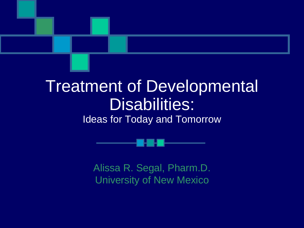#### Treatment of Developmental Disabilities: Ideas for Today and Tomorrow

Alissa R. Segal, Pharm.D. University of New Mexico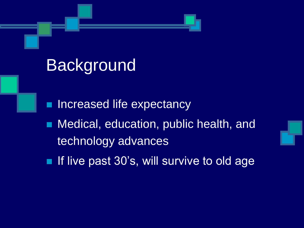### Background

- **Increased life expectancy**
- **Nedical, education, public health, and** technology advances
- If live past  $30$ 's, will survive to old age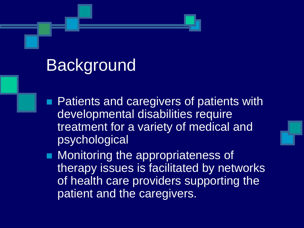### **Background**

- **Patients and caregivers of patients with** developmental disabilities require treatment for a variety of medical and psychological
- **Nonitoring the appropriateness of** therapy issues is facilitated by networks of health care providers supporting the patient and the caregivers.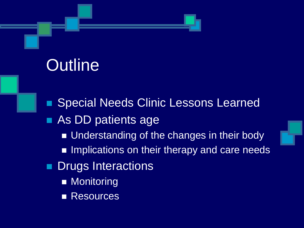# **Outline**

 Special Needs Clinic Lessons Learned **As DD patients age** ■ Understanding of the changes in their body **Implications on their therapy and care needs Drugs Interactions** ■ Monitoring **Resources**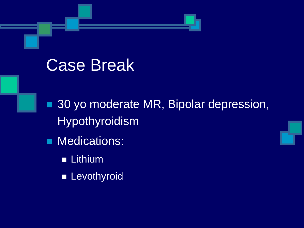#### Case Break

■ 30 yo moderate MR, Bipolar depression, Hypothyroidism

- **Medications:** 
	- **Lithium**
	- **Levothyroid**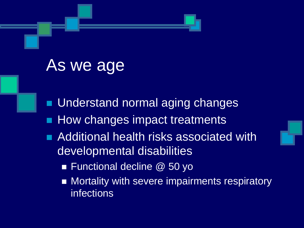#### As we age

- **Understand normal aging changes**
- **How changes impact treatments**
- **Additional health risks associated with** developmental disabilities
	- Functional decline @ 50 yo
	- **Mortality with severe impairments respiratory** infections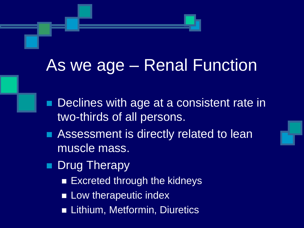### As we age – Renal Function

- **Declines with age at a consistent rate in** two-thirds of all persons.
- **Assessment is directly related to lean** muscle mass.
- **Drug Therapy** 
	- Excreted through the kidneys
	- **Low therapeutic index**
	- Lithium, Metformin, Diuretics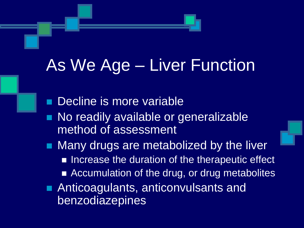### As We Age – Liver Function

 Decline is more variable No readily available or generalizable method of assessment **Many drugs are metabolized by the liver** ■ Increase the duration of the therapeutic effect ■ Accumulation of the drug, or drug metabolites **Anticoagulants, anticonvulsants and** benzodiazepines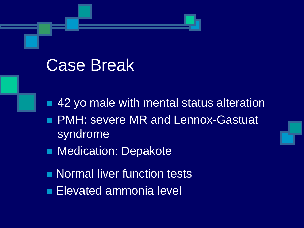#### Case Break

**42 yo male with mental status alteration PMH: severe MR and Lennox-Gastuat** syndrome **Nedication: Depakote** 

- **Normal liver function tests**
- **Elevated ammonia level**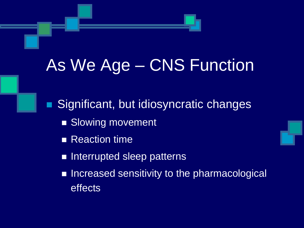■ Significant, but idiosyncratic changes Slowing movement **Reaction time Interrupted sleep patterns Increased sensitivity to the pharmacological** effects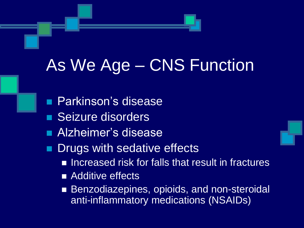- **Parkinson's disease**
- Seizure disorders
- **Alzheimer's disease**
- **Drugs with sedative effects** 
	- Increased risk for falls that result in fractures
	- **Additive effects**
	- Benzodiazepines, opioids, and non-steroidal anti-inflammatory medications (NSAIDs)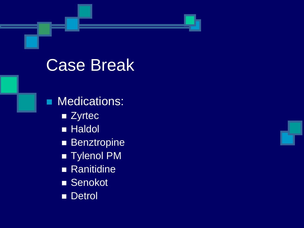#### Case Break

**Medications: zyrtec Haldol Benztropine Tylenol PM Ranitidine** ■ Senokot

Detrol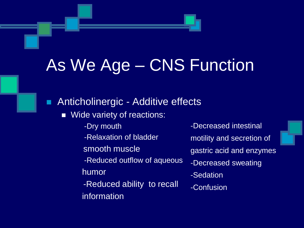**Anticholinergic - Additive effects** 

**Nide variety of reactions:** 

- -Dry mouth
- -Relaxation of bladder
- smooth muscle
- -Reduced outflow of aqueous humor
- -Reduced ability to recall information

-Decreased intestinal motility and secretion of gastric acid and enzymes -Decreased sweating -Sedation -Confusion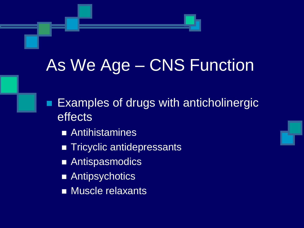- **Examples of drugs with anticholinergic** effects
	- **Antihistamines**
	- Tricyclic antidepressants
	- Antispasmodics
	- Antipsychotics
	- **Muscle relaxants**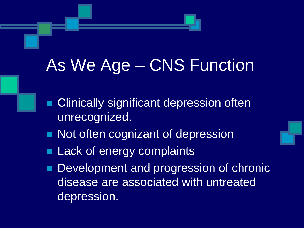- **Clinically significant depression often** unrecognized.
- Not often cognizant of depression
- **Lack of energy complaints**
- Development and progression of chronic disease are associated with untreated depression.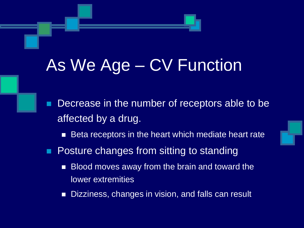Decrease in the number of receptors able to be affected by a drug.

■ Beta receptors in the heart which mediate heart rate

- **Posture changes from sitting to standing** 
	- Blood moves away from the brain and toward the lower extremities
	- Dizziness, changes in vision, and falls can result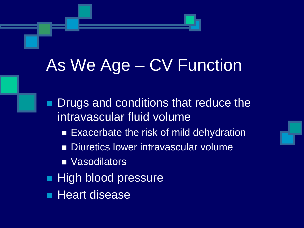**Drugs and conditions that reduce the** intravascular fluid volume **Exacerbate the risk of mild dehydration** Diuretics lower intravascular volume **Nasodilators High blood pressure Heart disease**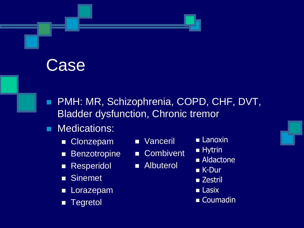#### Case

- **PMH: MR, Schizophrenia, COPD, CHF, DVT,** Bladder dysfunction, Chronic tremor
- **Medications:** 
	- Clonzepam
	- **Benzotropine**
	- **Resperidol**
	- **Sinemet**
	- **Lorazepam**
	- **Tegretol**
- **Nanceril**
- Combivent
- **Albuterol**
- **Lanoxin**
- **Hytrin**
- Aldactone
- **K-Dur**
- Zestril
- **Lasix**
- Coumadin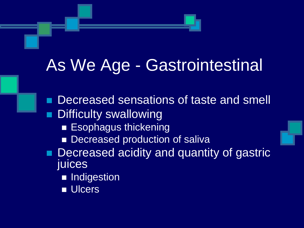### As We Age - Gastrointestinal

 Decreased sensations of taste and smell Difficulty swallowing **Esophagus thickening** Decreased production of saliva Decreased acidity and quantity of gastric juices **Indigestion Ulcers**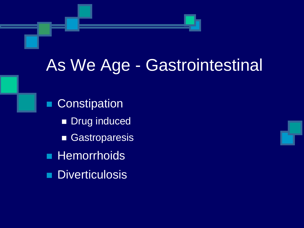## As We Age - Gastrointestinal

**Constipation Drug induced** Gastroparesis **Hemorrhoids Diverticulosis** 

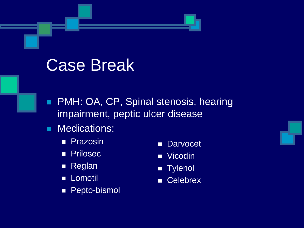#### Case Break

- **PMH: OA, CP, Spinal stenosis, hearing** impairment, peptic ulcer disease
- **Medications:** 
	- **Prazosin**
	- **Prilosec**
	- **Reglan**
	- **Lomotil**
	- **Pepto-bismol**
- **Darvocet**
- **N** Vicodin
- **Tylenol**
- Celebrex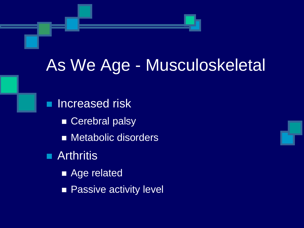### As We Age - Musculoskeletal

**Increased risk** Cerebral palsy **Metabolic disorders Arthritis** ■ Age related **Passive activity level**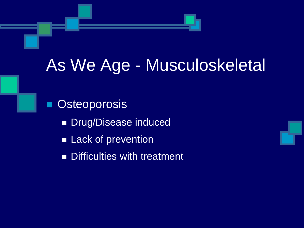## As We Age - Musculoskeletal

**Osteoporosis Drug/Disease induced Lack of prevention Difficulties with treatment**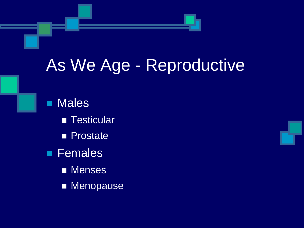### As We Age - Reproductive

**Males Testicular Prostate Females Menses Menopause**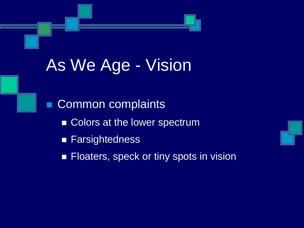# As We Age - Vision

Common complaints Colors at the lower spectrum ■ Farsightedness **Floaters, speck or tiny spots in vision**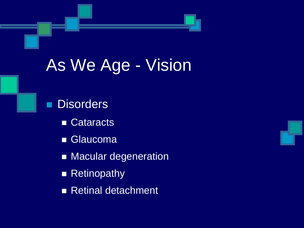# As We Age - Vision

#### **Disorders**

- Cataracts
- **Glaucoma**
- **Macular degeneration**
- Retinopathy
- Retinal detachment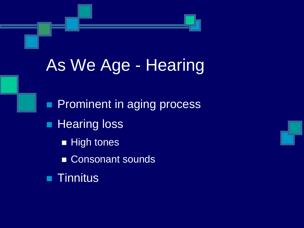# As We Age - Hearing

**Prominent in aging process Hearing loss High tones** Consonant sounds **Tinnitus**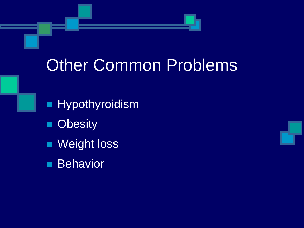### Other Common Problems

**Hypothyroidism Obesity Neight loss Behavior**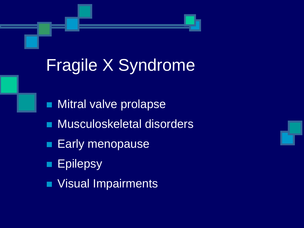# Fragile X Syndrome

- **Nitral valve prolapse**
- **Musculoskeletal disorders**
- **Early menopause**
- **Epilepsy**
- **Visual Impairments**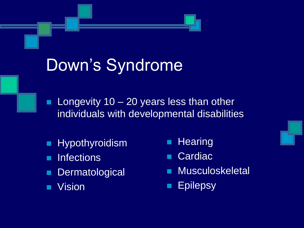# Down's Syndrome

- **Longevity 10 20 years less than other** individuals with developmental disabilities
- **Hypothyroidism**
- **Infections**
- **Dermatological**
- **N** Vision
- **Hearing**
- **Cardiac**
- Musculoskeletal
- **Epilepsy**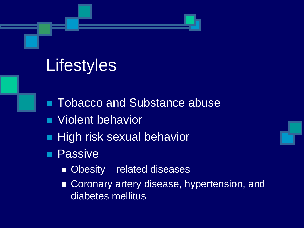# **Lifestyles**

- **Tobacco and Substance abuse**
- **Nolent behavior**
- **High risk sexual behavior**
- **Passive** 
	- Obesity related diseases
	- Coronary artery disease, hypertension, and diabetes mellitus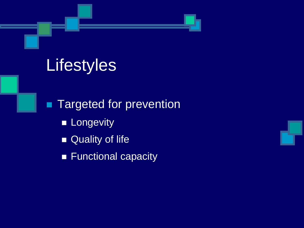# **Lifestyles**

**Targeted for prevention Longevity** Quality of life **Functional capacity**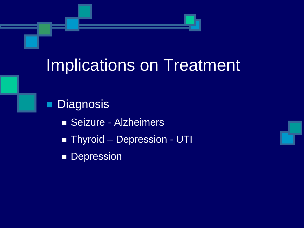**Diagnosis** Seizure - Alzheimers **Thyroid – Depression - UTI Depression** 

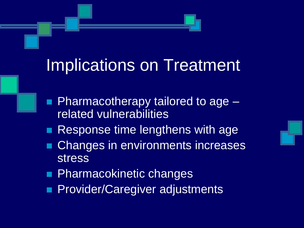- **Pharmacotherapy tailored to age** related vulnerabilities
- **Response time lengthens with age**
- Changes in environments increases stress
- **Pharmacokinetic changes**
- **Provider/Caregiver adjustments**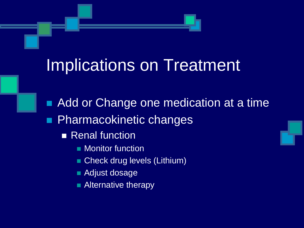■ Add or Change one medication at a time **Pharmacokinetic changes Renal function Nonitor function** 

- **Check drug levels (Lithium)**
- **Adjust dosage**
- **Alternative therapy**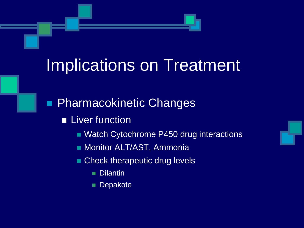**Pharmacokinetic Changes** 

- **Liver function** 
	- **Natch Cytochrome P450 drug interactions**
	- **Monitor ALT/AST, Ammonia**
	- Check therapeutic drug levels
		- **Dilantin**
		- **Depakote**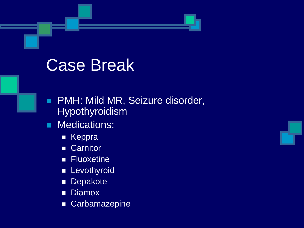#### Case Break

- **PMH: Mild MR, Seizure disorder,** Hypothyroidism
- **Medications:** 
	- **EXeppra**
	- **Carnitor**
	- **Fluoxetine**
	- **Levothyroid**
	- **Depakote**
	- **Diamox**
	- Carbamazepine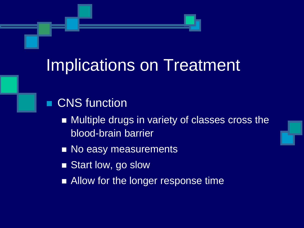- **CNS** function
	- Multiple drugs in variety of classes cross the blood-brain barrier
	- No easy measurements
	- Start low, go slow
	- Allow for the longer response time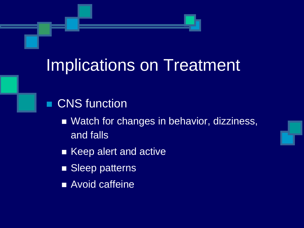#### **CNS** function

- Watch for changes in behavior, dizziness, and falls
- Keep alert and active
- Sleep patterns
- **Avoid caffeine**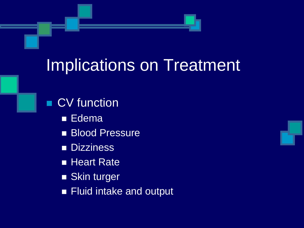**CV** function

- **Edema**
- **Blood Pressure**
- **Dizziness**
- **Heart Rate**
- **Skin turger**
- **Fluid intake and output**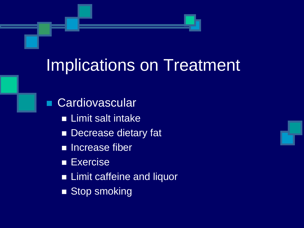- **Cardiovascular Limit salt intake** Decrease dietary fat **Increase fiber Exercise Example 12 Limit caffeine and liquor** 
	- Stop smoking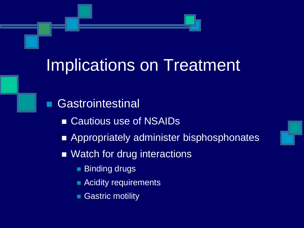- **Gastrointestinal** 
	- Cautious use of NSAIDs
	- **Appropriately administer bisphosphonates**
	- Watch for drug interactions
		- Binding drugs
		- **Acidity requirements**
		- Gastric motility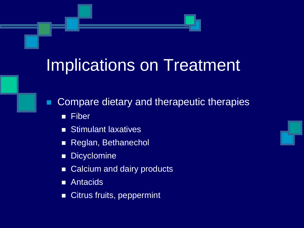- Compare dietary and therapeutic therapies
	- **Fiber**
	- **Stimulant laxatives**
	- Reglan, Bethanechol
	- **Dicyclomine**
	- Calcium and dairy products
	- **Antacids**
	- Citrus fruits, peppermint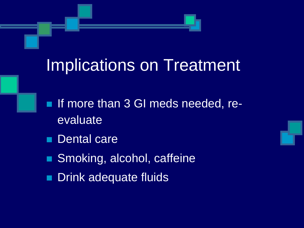- **If more than 3 GI meds needed, re**evaluate
- **Dental care**
- Smoking, alcohol, caffeine
- **Drink adequate fluids**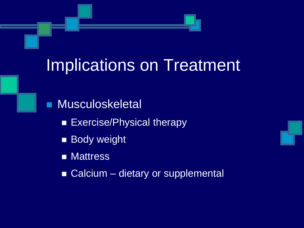**Musculoskeletal** 

**Exercise/Physical therapy** 

**Body weight** 

**Nattress** 

■ Calcium – dietary or supplemental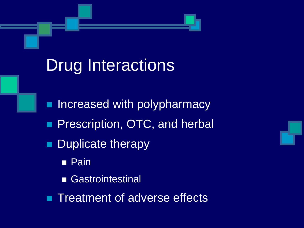### Drug Interactions

**Increased with polypharmacy Prescription, OTC, and herbal Duplicate therapy Pain Gastrointestinal Treatment of adverse effects**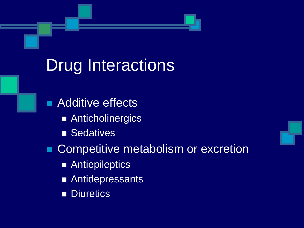### Drug Interactions

**Additive effects Anticholinergics Sedatives** ■ Competitive metabolism or excretion **Antiepileptics Antidepressants Diuretics**